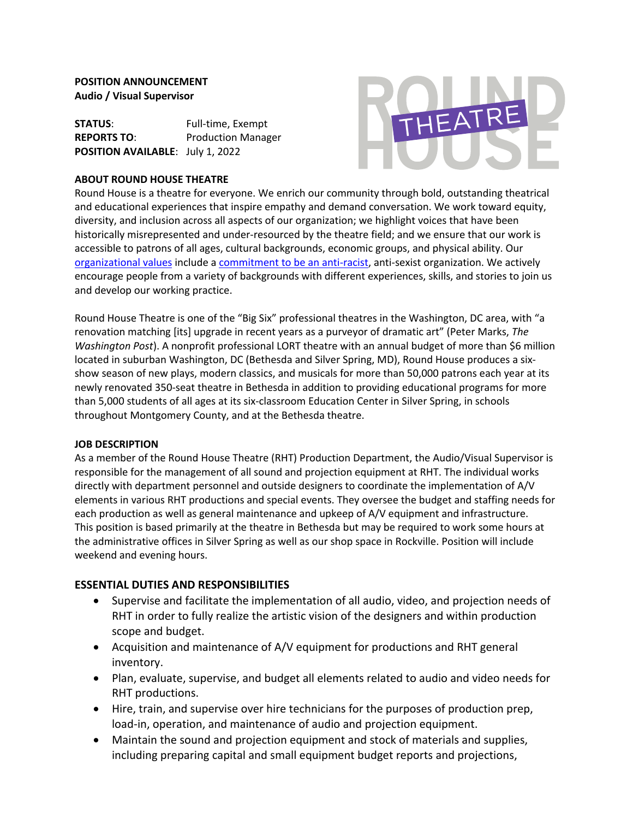## **POSITION ANNOUNCEMENT Audio / Visual Supervisor**

**STATUS:** Full-time, Exempt **REPORTS TO**: Production Manager **POSITION AVAILABLE**: July 1, 2022

### **ABOUT ROUND HOUSE THEATRE**



Round House is a theatre for everyone. We enrich our community through bold, outstanding theatrical and educational experiences that inspire empathy and demand conversation. We work toward equity, diversity, and inclusion across all aspects of our organization; we highlight voices that have been historically misrepresented and under-resourced by the theatre field; and we ensure that our work is accessible to patrons of all ages, cultural backgrounds, economic groups, and physical ability. Our organizational values include a commitment to be an anti-racist, anti-sexist organization. We actively encourage people from a variety of backgrounds with different experiences, skills, and stories to join us and develop our working practice.

Round House Theatre is one of the "Big Six" professional theatres in the Washington, DC area, with "a renovation matching [its] upgrade in recent years as a purveyor of dramatic art" (Peter Marks, *The Washington Post*). A nonprofit professional LORT theatre with an annual budget of more than \$6 million located in suburban Washington, DC (Bethesda and Silver Spring, MD), Round House produces a sixshow season of new plays, modern classics, and musicals for more than 50,000 patrons each year at its newly renovated 350-seat theatre in Bethesda in addition to providing educational programs for more than 5,000 students of all ages at its six-classroom Education Center in Silver Spring, in schools throughout Montgomery County, and at the Bethesda theatre.

#### **JOB DESCRIPTION**

As a member of the Round House Theatre (RHT) Production Department, the Audio/Visual Supervisor is responsible for the management of all sound and projection equipment at RHT. The individual works directly with department personnel and outside designers to coordinate the implementation of A/V elements in various RHT productions and special events. They oversee the budget and staffing needs for each production as well as general maintenance and upkeep of A/V equipment and infrastructure. This position is based primarily at the theatre in Bethesda but may be required to work some hours at the administrative offices in Silver Spring as well as our shop space in Rockville. Position will include weekend and evening hours.

### **ESSENTIAL DUTIES AND RESPONSIBILITIES**

- Supervise and facilitate the implementation of all audio, video, and projection needs of RHT in order to fully realize the artistic vision of the designers and within production scope and budget.
- Acquisition and maintenance of A/V equipment for productions and RHT general inventory.
- Plan, evaluate, supervise, and budget all elements related to audio and video needs for RHT productions.
- Hire, train, and supervise over hire technicians for the purposes of production prep, load-in, operation, and maintenance of audio and projection equipment.
- Maintain the sound and projection equipment and stock of materials and supplies, including preparing capital and small equipment budget reports and projections,